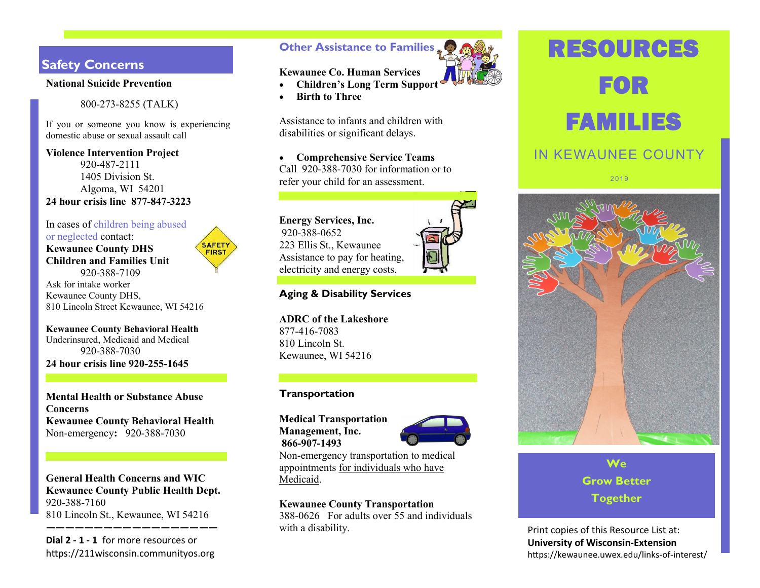# **Safety Concerns**

#### **National Suicide Prevention**

800-273-8255 (TALK)

If you or someone you know is experiencing domestic abuse or sexual assault call

**Violence Intervention Project** 920-487-2111 1405 Division St. Algoma, WI 54201 **24 hour crisis line 877-847-3223**

In cases of children being abused or neglected contact: **Kewaunee County DHS Children and Families Unit** 920-388-7109



Ask for intake worker Kewaunee County DHS, 810 Lincoln Street Kewaunee, WI 54216

**Kewaunee County Behavioral Health** Underinsured, Medicaid and Medical 920-388-7030 **24 hour crisis line 920-255-1645**

**Mental Health or Substance Abuse Concerns Kewaunee County Behavioral Health**  Non-emergency**:** 920-388-7030

**General Health Concerns and WIC Kewaunee County Public Health Dept.**  920-388-7160 810 Lincoln St., Kewaunee, WI 54216

**——————————————————**

**Dial 2 - 1 - 1** for more resources or https://211wisconsin.communityos.org

# **Other Assistance to Families**



# **Kewaunee Co. Human Services Children's Long Term Support**

**•** Birth to Three

Assistance to infants and children with disabilities or significant delays.

 **Comprehensive Service Teams** Call 920-388-7030 for information or to refer your child for an assessment.

**Energy Services, Inc.** 920-388-0652 223 Ellis St., Kewaunee Assistance to pay for heating, electricity and energy costs.



**ADRC of the Lakeshore** 877-416-7083 810 Lincoln St. Kewaunee, WI 54216

# **Transportation**

**Medical Transportation Management, Inc. 866-907-1493**



Non-emergency transportation to medical appointments for individuals who have Medicaid.

### **Kewaunee County Transportation**

388-0626 For adults over 55 and individuals with a disability. The print copies of this Resource List at:

# RESOURCES FOR FAMILIES

# IN KEWAUNEE COUNTY

2 01 9



**We Grow Better Together**

**University of Wisconsin-Extension** https://kewaunee.uwex.edu/links-of-interest/